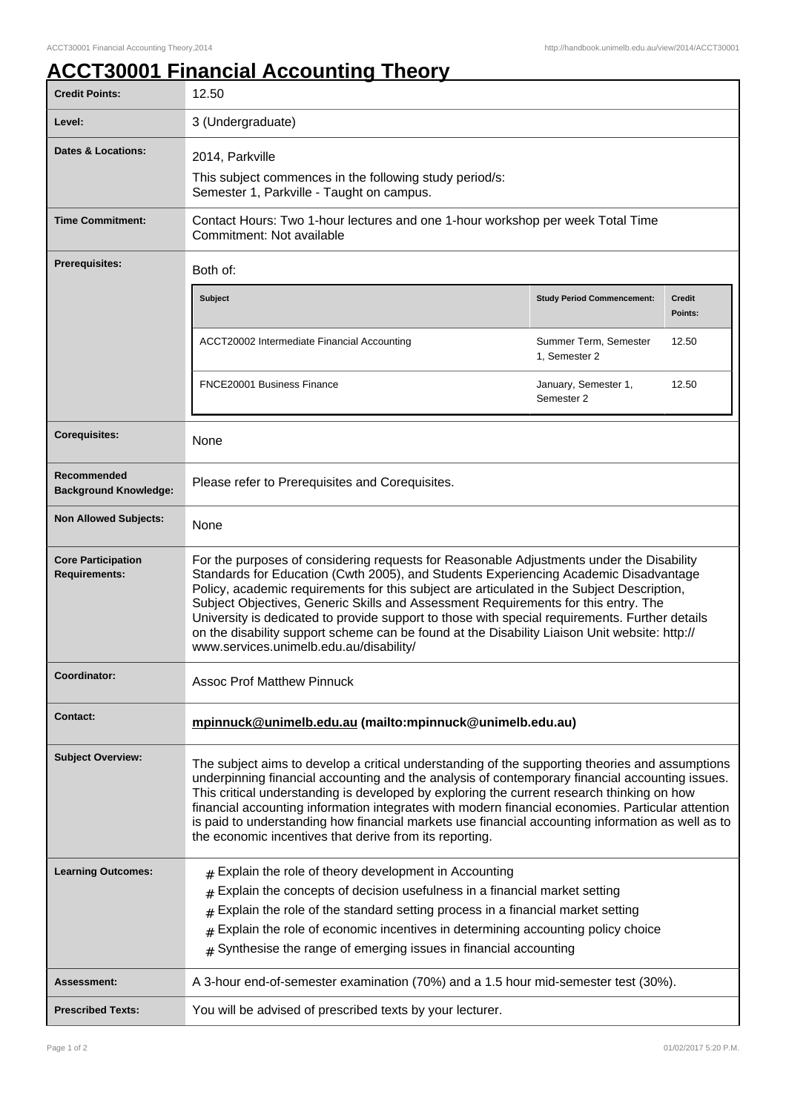## **ACCT30001 Financial Accounting Theory**

| <b>Credit Points:</b>                             | 12.50                                                                                                                                                                                                                                                                                                                                                                                                                                                                                                                                                                                                              |                                        |                          |
|---------------------------------------------------|--------------------------------------------------------------------------------------------------------------------------------------------------------------------------------------------------------------------------------------------------------------------------------------------------------------------------------------------------------------------------------------------------------------------------------------------------------------------------------------------------------------------------------------------------------------------------------------------------------------------|----------------------------------------|--------------------------|
| Level:                                            | 3 (Undergraduate)                                                                                                                                                                                                                                                                                                                                                                                                                                                                                                                                                                                                  |                                        |                          |
| Dates & Locations:                                | 2014, Parkville                                                                                                                                                                                                                                                                                                                                                                                                                                                                                                                                                                                                    |                                        |                          |
|                                                   | This subject commences in the following study period/s:<br>Semester 1, Parkville - Taught on campus.                                                                                                                                                                                                                                                                                                                                                                                                                                                                                                               |                                        |                          |
| <b>Time Commitment:</b>                           | Contact Hours: Two 1-hour lectures and one 1-hour workshop per week Total Time<br>Commitment: Not available                                                                                                                                                                                                                                                                                                                                                                                                                                                                                                        |                                        |                          |
| Prerequisites:                                    | Both of:                                                                                                                                                                                                                                                                                                                                                                                                                                                                                                                                                                                                           |                                        |                          |
|                                                   | <b>Subject</b>                                                                                                                                                                                                                                                                                                                                                                                                                                                                                                                                                                                                     | <b>Study Period Commencement:</b>      | <b>Credit</b><br>Points: |
|                                                   | ACCT20002 Intermediate Financial Accounting                                                                                                                                                                                                                                                                                                                                                                                                                                                                                                                                                                        | Summer Term, Semester<br>1. Semester 2 | 12.50                    |
|                                                   | FNCE20001 Business Finance                                                                                                                                                                                                                                                                                                                                                                                                                                                                                                                                                                                         | January, Semester 1,<br>Semester 2     | 12.50                    |
| <b>Corequisites:</b>                              | None                                                                                                                                                                                                                                                                                                                                                                                                                                                                                                                                                                                                               |                                        |                          |
| Recommended<br><b>Background Knowledge:</b>       | Please refer to Prerequisites and Corequisites.                                                                                                                                                                                                                                                                                                                                                                                                                                                                                                                                                                    |                                        |                          |
| <b>Non Allowed Subjects:</b>                      | None                                                                                                                                                                                                                                                                                                                                                                                                                                                                                                                                                                                                               |                                        |                          |
| <b>Core Participation</b><br><b>Requirements:</b> | For the purposes of considering requests for Reasonable Adjustments under the Disability<br>Standards for Education (Cwth 2005), and Students Experiencing Academic Disadvantage<br>Policy, academic requirements for this subject are articulated in the Subject Description,<br>Subject Objectives, Generic Skills and Assessment Requirements for this entry. The<br>University is dedicated to provide support to those with special requirements. Further details<br>on the disability support scheme can be found at the Disability Liaison Unit website: http://<br>www.services.unimelb.edu.au/disability/ |                                        |                          |
| Coordinator:                                      | <b>Assoc Prof Matthew Pinnuck</b>                                                                                                                                                                                                                                                                                                                                                                                                                                                                                                                                                                                  |                                        |                          |
| <b>Contact:</b>                                   | mpinnuck@unimelb.edu.au (mailto:mpinnuck@unimelb.edu.au)                                                                                                                                                                                                                                                                                                                                                                                                                                                                                                                                                           |                                        |                          |
| <b>Subject Overview:</b>                          | The subject aims to develop a critical understanding of the supporting theories and assumptions<br>underpinning financial accounting and the analysis of contemporary financial accounting issues.<br>This critical understanding is developed by exploring the current research thinking on how<br>financial accounting information integrates with modern financial economies. Particular attention<br>is paid to understanding how financial markets use financial accounting information as well as to<br>the economic incentives that derive from its reporting.                                              |                                        |                          |
| <b>Learning Outcomes:</b>                         | $#$ Explain the role of theory development in Accounting<br>Explain the concepts of decision usefulness in a financial market setting<br>Explain the role of the standard setting process in a financial market setting<br>#<br>Explain the role of economic incentives in determining accounting policy choice<br>#<br>Synthesise the range of emerging issues in financial accounting<br>#                                                                                                                                                                                                                       |                                        |                          |
| <b>Assessment:</b>                                | A 3-hour end-of-semester examination (70%) and a 1.5 hour mid-semester test (30%).                                                                                                                                                                                                                                                                                                                                                                                                                                                                                                                                 |                                        |                          |
| <b>Prescribed Texts:</b>                          | You will be advised of prescribed texts by your lecturer.                                                                                                                                                                                                                                                                                                                                                                                                                                                                                                                                                          |                                        |                          |